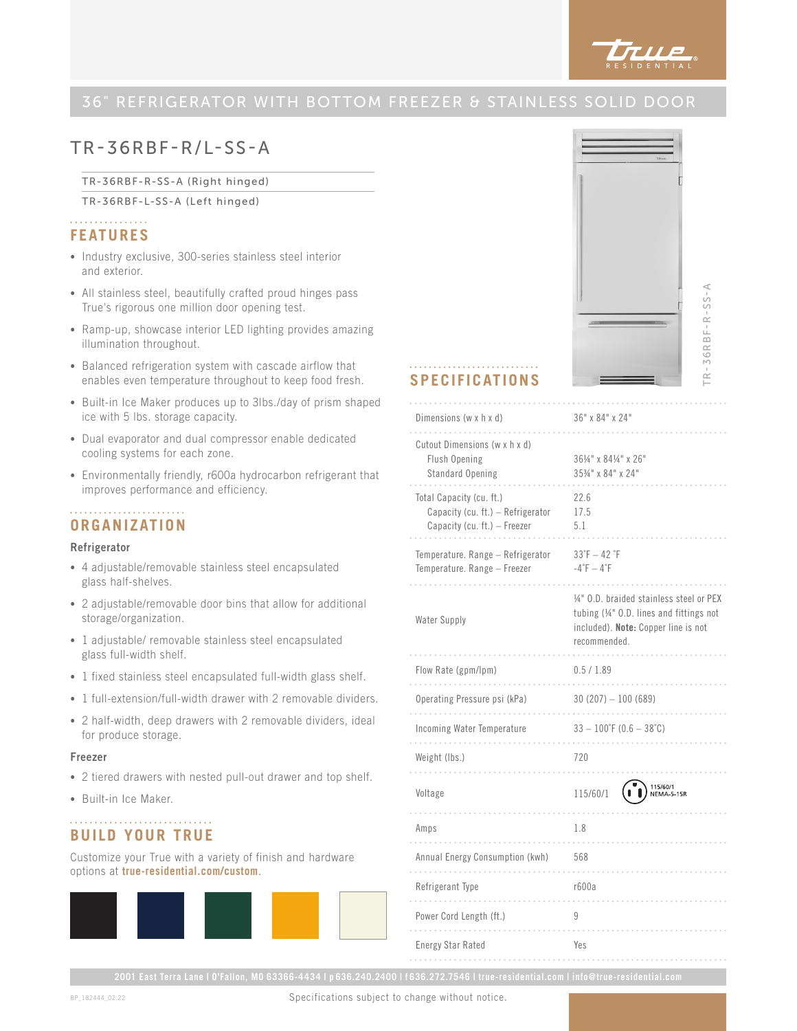

# TR-36RBF-R/L-SS-A

TR-36RBF-R-SS-A (Right hinged)

TR-36RBF-L-SS-A (Left hinged)

## . . . . . . . . . . . . . . . . **FEATURES**

- Industry exclusive, 300-series stainless steel interior and exterior.
- All stainless steel, beautifully crafted proud hinges pass True's rigorous one million door opening test.
- Ramp-up, showcase interior LED lighting provides amazing illumination throughout.
- Balanced refrigeration system with cascade airflow that enables even temperature throughout to keep food fresh.
- Built-in Ice Maker produces up to 3lbs./day of prism shaped ice with 5 lbs. storage capacity.
- Dual evaporator and dual compressor enable dedicated cooling systems for each zone.
- Environmentally friendly, r600a hydrocarbon refrigerant that improves performance and efficiency.

## **ORGANIZATION**

### Refrigerator

- 4 adjustable/removable stainless steel encapsulated glass half-shelves.
- 2 adjustable/removable door bins that allow for additional storage/organization.
- 1 adjustable/ removable stainless steel encapsulated glass full-width shelf.
- 1 fixed stainless steel encapsulated full-width glass shelf.
- 1 full-extension/full-width drawer with 2 removable dividers.
- 2 half-width, deep drawers with 2 removable dividers, ideal for produce storage.

### Freezer

- 2 tiered drawers with nested pull-out drawer and top shelf.
- Built-in Ice Maker.

# **BUILD YOUR TRUE**

Customize your True with a variety of finish and hardware options at **true-residential.com/custom**.



 $\prec$ TR-36RBF-R-SS-A  $TR-36RBF-R-SS-$ 

### **SPECIFICATIONS**

| Dimensions (w x h x d)                                                                        | 36" x 84" x 24"                                                                                                                             |
|-----------------------------------------------------------------------------------------------|---------------------------------------------------------------------------------------------------------------------------------------------|
| Cutout Dimensions (w x h x d)<br>Flush Opening<br>Standard Opening                            | 361/4" x 841/4" x 26"<br>3534" x 84" x 24"                                                                                                  |
| Total Capacity (cu. ft.)<br>Capacity (cu. ft.) - Refrigerator<br>Capacity (cu. ft.) - Freezer | 22.6<br>17.5<br>5.1                                                                                                                         |
| Temperature. Range - Refrigerator<br>Temperature. Range - Freezer                             | $33°F - 42°F$<br>$-4$ °F $-4$ °F                                                                                                            |
| Water Supply                                                                                  | 1/4" O.D. braided stainless steel or PEX<br>tubing (1/4" O.D. lines and fittings not<br>included). Note: Copper line is not<br>recommended. |
| Flow Rate (gpm/lpm)                                                                           | 0.5 / 1.89                                                                                                                                  |
| Operating Pressure psi (kPa)                                                                  | $30(207) - 100(689)$                                                                                                                        |
| Incoming Water Temperature                                                                    | $33 - 100$ °F (0.6 - 38°C)                                                                                                                  |
| Weight (lbs.)                                                                                 | 720                                                                                                                                         |
| Voltage                                                                                       | 115/60/1<br>NEMA-5<br>115/60/1                                                                                                              |
| Amps                                                                                          | 1.8                                                                                                                                         |
| Annual Energy Consumption (kwh)                                                               | 568                                                                                                                                         |
| Refrigerant Type                                                                              | r600a                                                                                                                                       |
| Power Cord Length (ft.)                                                                       | 9                                                                                                                                           |
| <b>Energy Star Rated</b>                                                                      | Yes                                                                                                                                         |

Specifications subject to change without notice.